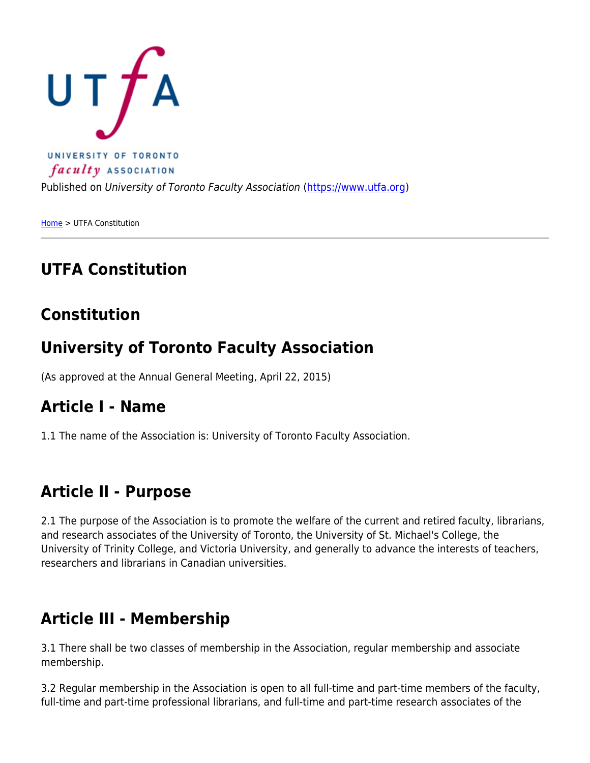

[Home](https://www.utfa.org/) > UTFA Constitution

# **UTFA Constitution**

# **Constitution**

# **University of Toronto Faculty Association**

(As approved at the Annual General Meeting, April 22, 2015)

#### **Article I - Name**

1.1 The name of the Association is: University of Toronto Faculty Association.

#### **Article II - Purpose**

2.1 The purpose of the Association is to promote the welfare of the current and retired faculty, librarians, and research associates of the University of Toronto, the University of St. Michael's College, the University of Trinity College, and Victoria University, and generally to advance the interests of teachers, researchers and librarians in Canadian universities.

# **Article III - Membership**

3.1 There shall be two classes of membership in the Association, regular membership and associate membership.

3.2 Regular membership in the Association is open to all full-time and part-time members of the faculty, full-time and part-time professional librarians, and full-time and part-time research associates of the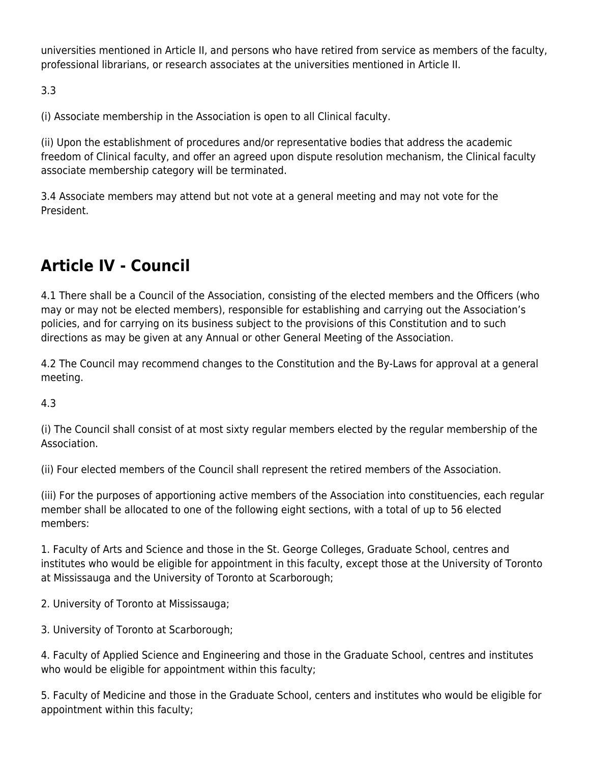universities mentioned in Article II, and persons who have retired from service as members of the faculty, professional librarians, or research associates at the universities mentioned in Article II.

3.3

(i) Associate membership in the Association is open to all Clinical faculty.

(ii) Upon the establishment of procedures and/or representative bodies that address the academic freedom of Clinical faculty, and offer an agreed upon dispute resolution mechanism, the Clinical faculty associate membership category will be terminated.

3.4 Associate members may attend but not vote at a general meeting and may not vote for the President.

# **Article IV - Council**

4.1 There shall be a Council of the Association, consisting of the elected members and the Officers (who may or may not be elected members), responsible for establishing and carrying out the Association's policies, and for carrying on its business subject to the provisions of this Constitution and to such directions as may be given at any Annual or other General Meeting of the Association.

4.2 The Council may recommend changes to the Constitution and the By-Laws for approval at a general meeting.

4.3

(i) The Council shall consist of at most sixty regular members elected by the regular membership of the Association.

(ii) Four elected members of the Council shall represent the retired members of the Association.

(iii) For the purposes of apportioning active members of the Association into constituencies, each regular member shall be allocated to one of the following eight sections, with a total of up to 56 elected members:

1. Faculty of Arts and Science and those in the St. George Colleges, Graduate School, centres and institutes who would be eligible for appointment in this faculty, except those at the University of Toronto at Mississauga and the University of Toronto at Scarborough;

2. University of Toronto at Mississauga;

3. University of Toronto at Scarborough;

4. Faculty of Applied Science and Engineering and those in the Graduate School, centres and institutes who would be eligible for appointment within this faculty;

5. Faculty of Medicine and those in the Graduate School, centers and institutes who would be eligible for appointment within this faculty;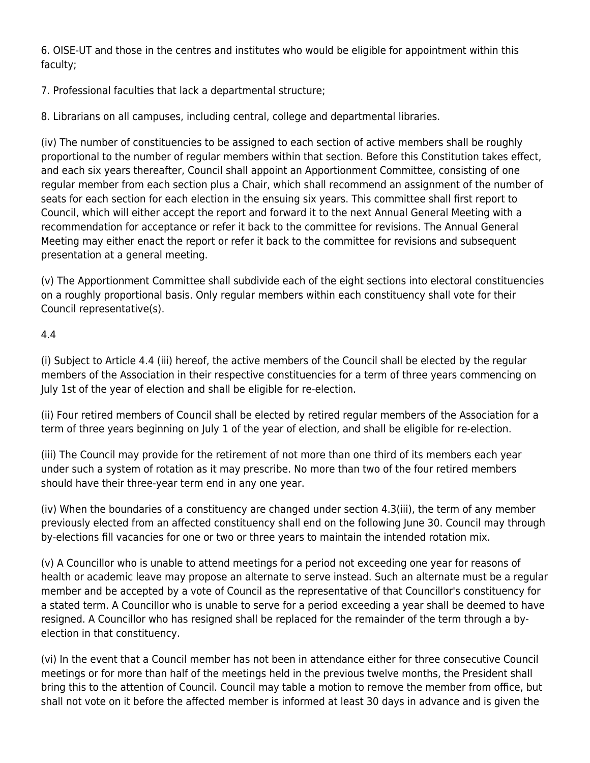6. OISE-UT and those in the centres and institutes who would be eligible for appointment within this faculty;

7. Professional faculties that lack a departmental structure;

8. Librarians on all campuses, including central, college and departmental libraries.

(iv) The number of constituencies to be assigned to each section of active members shall be roughly proportional to the number of regular members within that section. Before this Constitution takes effect, and each six years thereafter, Council shall appoint an Apportionment Committee, consisting of one regular member from each section plus a Chair, which shall recommend an assignment of the number of seats for each section for each election in the ensuing six years. This committee shall first report to Council, which will either accept the report and forward it to the next Annual General Meeting with a recommendation for acceptance or refer it back to the committee for revisions. The Annual General Meeting may either enact the report or refer it back to the committee for revisions and subsequent presentation at a general meeting.

(v) The Apportionment Committee shall subdivide each of the eight sections into electoral constituencies on a roughly proportional basis. Only regular members within each constituency shall vote for their Council representative(s).

#### 4.4

(i) Subject to Article 4.4 (iii) hereof, the active members of the Council shall be elected by the regular members of the Association in their respective constituencies for a term of three years commencing on July 1st of the year of election and shall be eligible for re-election.

(ii) Four retired members of Council shall be elected by retired regular members of the Association for a term of three years beginning on July 1 of the year of election, and shall be eligible for re-election.

(iii) The Council may provide for the retirement of not more than one third of its members each year under such a system of rotation as it may prescribe. No more than two of the four retired members should have their three-year term end in any one year.

(iv) When the boundaries of a constituency are changed under section 4.3(iii), the term of any member previously elected from an affected constituency shall end on the following June 30. Council may through by-elections fill vacancies for one or two or three years to maintain the intended rotation mix.

(v) A Councillor who is unable to attend meetings for a period not exceeding one year for reasons of health or academic leave may propose an alternate to serve instead. Such an alternate must be a regular member and be accepted by a vote of Council as the representative of that Councillor's constituency for a stated term. A Councillor who is unable to serve for a period exceeding a year shall be deemed to have resigned. A Councillor who has resigned shall be replaced for the remainder of the term through a byelection in that constituency.

(vi) In the event that a Council member has not been in attendance either for three consecutive Council meetings or for more than half of the meetings held in the previous twelve months, the President shall bring this to the attention of Council. Council may table a motion to remove the member from office, but shall not vote on it before the affected member is informed at least 30 days in advance and is given the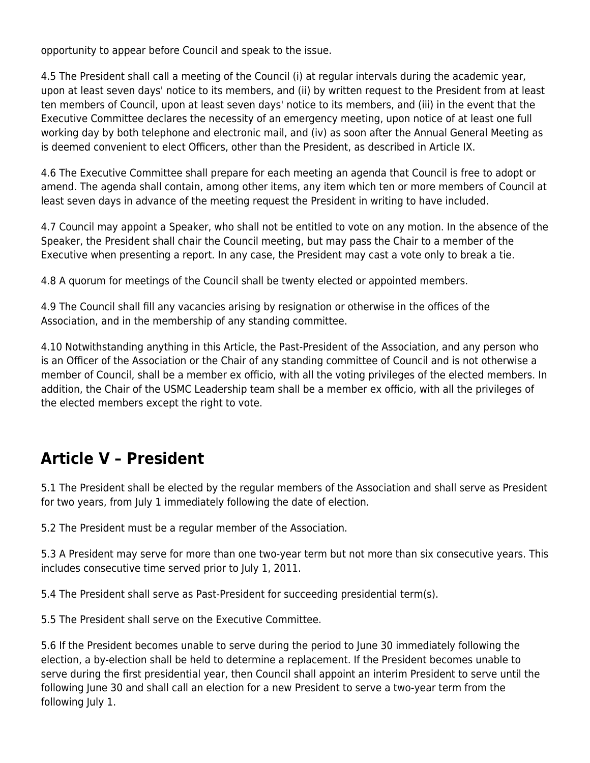opportunity to appear before Council and speak to the issue.

4.5 The President shall call a meeting of the Council (i) at regular intervals during the academic year, upon at least seven days' notice to its members, and (ii) by written request to the President from at least ten members of Council, upon at least seven days' notice to its members, and (iii) in the event that the Executive Committee declares the necessity of an emergency meeting, upon notice of at least one full working day by both telephone and electronic mail, and (iv) as soon after the Annual General Meeting as is deemed convenient to elect Officers, other than the President, as described in Article IX.

4.6 The Executive Committee shall prepare for each meeting an agenda that Council is free to adopt or amend. The agenda shall contain, among other items, any item which ten or more members of Council at least seven days in advance of the meeting request the President in writing to have included.

4.7 Council may appoint a Speaker, who shall not be entitled to vote on any motion. In the absence of the Speaker, the President shall chair the Council meeting, but may pass the Chair to a member of the Executive when presenting a report. In any case, the President may cast a vote only to break a tie.

4.8 A quorum for meetings of the Council shall be twenty elected or appointed members.

4.9 The Council shall fill any vacancies arising by resignation or otherwise in the offices of the Association, and in the membership of any standing committee.

4.10 Notwithstanding anything in this Article, the Past-President of the Association, and any person who is an Officer of the Association or the Chair of any standing committee of Council and is not otherwise a member of Council, shall be a member ex officio, with all the voting privileges of the elected members. In addition, the Chair of the USMC Leadership team shall be a member ex officio, with all the privileges of the elected members except the right to vote.

# **Article V – President**

5.1 The President shall be elected by the regular members of the Association and shall serve as President for two years, from July 1 immediately following the date of election.

5.2 The President must be a regular member of the Association.

5.3 A President may serve for more than one two-year term but not more than six consecutive years. This includes consecutive time served prior to July 1, 2011.

5.4 The President shall serve as Past-President for succeeding presidential term(s).

5.5 The President shall serve on the Executive Committee.

5.6 If the President becomes unable to serve during the period to June 30 immediately following the election, a by-election shall be held to determine a replacement. If the President becomes unable to serve during the first presidential year, then Council shall appoint an interim President to serve until the following June 30 and shall call an election for a new President to serve a two-year term from the following July 1.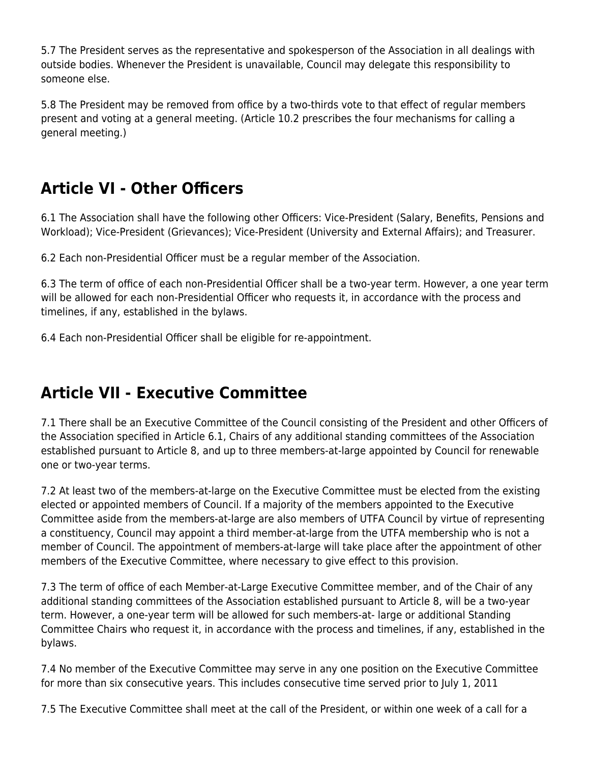5.7 The President serves as the representative and spokesperson of the Association in all dealings with outside bodies. Whenever the President is unavailable, Council may delegate this responsibility to someone else.

5.8 The President may be removed from office by a two-thirds vote to that effect of regular members present and voting at a general meeting. (Article 10.2 prescribes the four mechanisms for calling a general meeting.)

# **Article VI - Other Officers**

6.1 The Association shall have the following other Officers: Vice-President (Salary, Benefits, Pensions and Workload); Vice-President (Grievances); Vice-President (University and External Affairs); and Treasurer.

6.2 Each non-Presidential Officer must be a regular member of the Association.

6.3 The term of office of each non-Presidential Officer shall be a two-year term. However, a one year term will be allowed for each non-Presidential Officer who requests it, in accordance with the process and timelines, if any, established in the bylaws.

6.4 Each non-Presidential Officer shall be eligible for re-appointment.

# **Article VII - Executive Committee**

7.1 There shall be an Executive Committee of the Council consisting of the President and other Officers of the Association specified in Article 6.1, Chairs of any additional standing committees of the Association established pursuant to Article 8, and up to three members-at-large appointed by Council for renewable one or two-year terms.

7.2 At least two of the members-at-large on the Executive Committee must be elected from the existing elected or appointed members of Council. If a majority of the members appointed to the Executive Committee aside from the members-at-large are also members of UTFA Council by virtue of representing a constituency, Council may appoint a third member-at-large from the UTFA membership who is not a member of Council. The appointment of members-at-large will take place after the appointment of other members of the Executive Committee, where necessary to give effect to this provision.

7.3 The term of office of each Member-at-Large Executive Committee member, and of the Chair of any additional standing committees of the Association established pursuant to Article 8, will be a two-year term. However, a one-year term will be allowed for such members-at- large or additional Standing Committee Chairs who request it, in accordance with the process and timelines, if any, established in the bylaws.

7.4 No member of the Executive Committee may serve in any one position on the Executive Committee for more than six consecutive years. This includes consecutive time served prior to July 1, 2011

7.5 The Executive Committee shall meet at the call of the President, or within one week of a call for a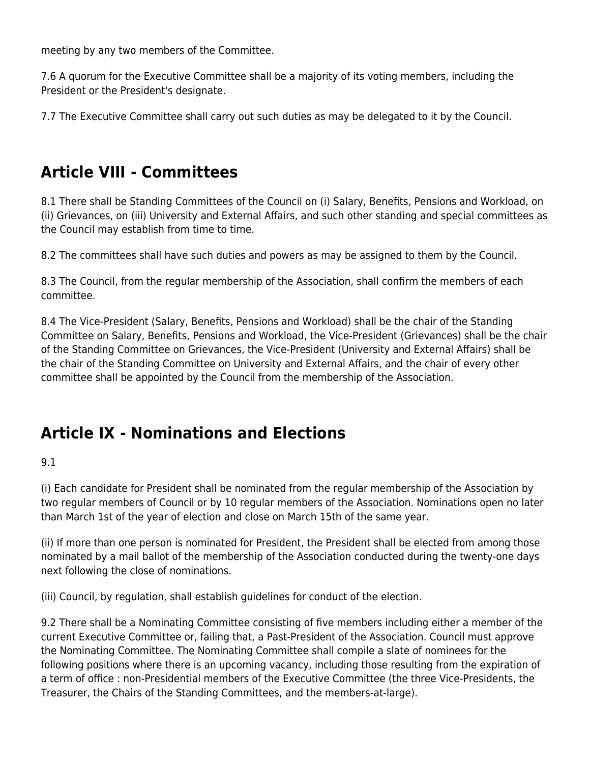meeting by any two members of the Committee.

7.6 A quorum for the Executive Committee shall be a majority of its voting members, including the President or the President's designate.

7.7 The Executive Committee shall carry out such duties as may be delegated to it by the Council.

# **Article VIII - Committees**

8.1 There shall be Standing Committees of the Council on (i) Salary, Benefits, Pensions and Workload, on (ii) Grievances, on (iii) University and External Affairs, and such other standing and special committees as the Council may establish from time to time.

8.2 The committees shall have such duties and powers as may be assigned to them by the Council.

8.3 The Council, from the regular membership of the Association, shall confirm the members of each committee.

8.4 The Vice-President (Salary, Benefits, Pensions and Workload) shall be the chair of the Standing Committee on Salary, Benefits, Pensions and Workload, the Vice-President (Grievances) shall be the chair of the Standing Committee on Grievances, the Vice-President (University and External Affairs) shall be the chair of the Standing Committee on University and External Affairs, and the chair of every other committee shall be appointed by the Council from the membership of the Association.

# **Article IX - Nominations and Elections**

9.1

(i) Each candidate for President shall be nominated from the regular membership of the Association by two regular members of Council or by 10 regular members of the Association. Nominations open no later than March 1st of the year of election and close on March 15th of the same year.

(ii) If more than one person is nominated for President, the President shall be elected from among those nominated by a mail ballot of the membership of the Association conducted during the twenty-one days next following the close of nominations.

(iii) Council, by regulation, shall establish guidelines for conduct of the election.

9.2 There shall be a Nominating Committee consisting of five members including either a member of the current Executive Committee or, failing that, a Past-President of the Association. Council must approve the Nominating Committee. The Nominating Committee shall compile a slate of nominees for the following positions where there is an upcoming vacancy, including those resulting from the expiration of a term of office : non-Presidential members of the Executive Committee (the three Vice-Presidents, the Treasurer, the Chairs of the Standing Committees, and the members-at-large).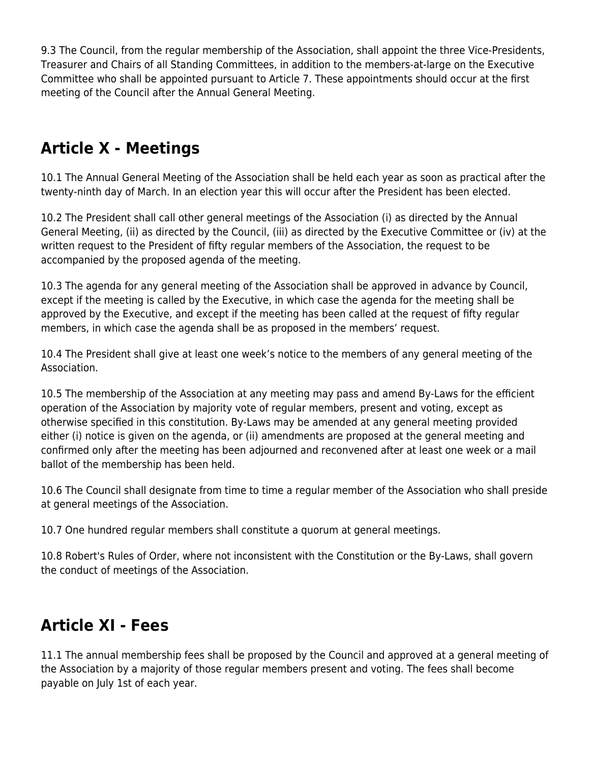9.3 The Council, from the regular membership of the Association, shall appoint the three Vice-Presidents, Treasurer and Chairs of all Standing Committees, in addition to the members-at-large on the Executive Committee who shall be appointed pursuant to Article 7. These appointments should occur at the first meeting of the Council after the Annual General Meeting.

# **Article X - Meetings**

10.1 The Annual General Meeting of the Association shall be held each year as soon as practical after the twenty-ninth day of March. In an election year this will occur after the President has been elected.

10.2 The President shall call other general meetings of the Association (i) as directed by the Annual General Meeting, (ii) as directed by the Council, (iii) as directed by the Executive Committee or (iv) at the written request to the President of fifty regular members of the Association, the request to be accompanied by the proposed agenda of the meeting.

10.3 The agenda for any general meeting of the Association shall be approved in advance by Council, except if the meeting is called by the Executive, in which case the agenda for the meeting shall be approved by the Executive, and except if the meeting has been called at the request of fifty regular members, in which case the agenda shall be as proposed in the members' request.

10.4 The President shall give at least one week's notice to the members of any general meeting of the Association.

10.5 The membership of the Association at any meeting may pass and amend By-Laws for the efficient operation of the Association by majority vote of regular members, present and voting, except as otherwise specified in this constitution. By-Laws may be amended at any general meeting provided either (i) notice is given on the agenda, or (ii) amendments are proposed at the general meeting and confirmed only after the meeting has been adjourned and reconvened after at least one week or a mail ballot of the membership has been held.

10.6 The Council shall designate from time to time a regular member of the Association who shall preside at general meetings of the Association.

10.7 One hundred regular members shall constitute a quorum at general meetings.

10.8 Robert's Rules of Order, where not inconsistent with the Constitution or the By-Laws, shall govern the conduct of meetings of the Association.

# **Article XI - Fees**

11.1 The annual membership fees shall be proposed by the Council and approved at a general meeting of the Association by a majority of those regular members present and voting. The fees shall become payable on July 1st of each year.